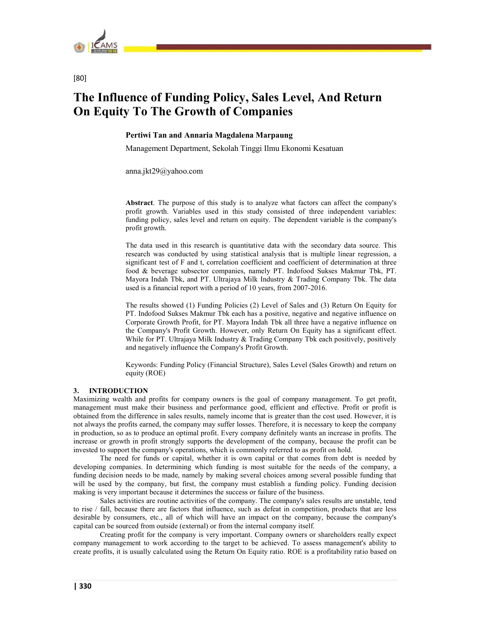

# [80]

# The Influence of Funding Policy, Sales Level, And Return On Equity To The Growth of Companies

# Pertiwi Tan and Annaria Magdalena Marpaung

Management Department, Sekolah Tinggi Ilmu Ekonomi Kesatuan

anna.jkt29@yahoo.com

Abstract. The purpose of this study is to analyze what factors can affect the company's profit growth. Variables used in this study consisted of three independent variables: funding policy, sales level and return on equity. The dependent variable is the company's profit growth.

The data used in this research is quantitative data with the secondary data source. This research was conducted by using statistical analysis that is multiple linear regression, a significant test of F and t, correlation coefficient and coefficient of determination at three food & beverage subsector companies, namely PT. Indofood Sukses Makmur Tbk, PT. Mayora Indah Tbk, and PT. Ultrajaya Milk Industry & Trading Company Tbk. The data used is a financial report with a period of 10 years, from 2007-2016.

The results showed (1) Funding Policies (2) Level of Sales and (3) Return On Equity for PT. Indofood Sukses Makmur Tbk each has a positive, negative and negative influence on Corporate Growth Profit, for PT. Mayora Indah Tbk all three have a negative influence on the Company's Profit Growth. However, only Return On Equity has a significant effect. While for PT. Ultrajaya Milk Industry & Trading Company Tbk each positively, positively and negatively influence the Company's Profit Growth.

Keywords: Funding Policy (Financial Structure), Sales Level (Sales Growth) and return on equity (ROE)

# 3. INTRODUCTION

Maximizing wealth and profits for company owners is the goal of company management. To get profit, management must make their business and performance good, efficient and effective. Profit or profit is obtained from the difference in sales results, namely income that is greater than the cost used. However, it is not always the profits earned, the company may suffer losses. Therefore, it is necessary to keep the company in production, so as to produce an optimal profit. Every company definitely wants an increase in profits. The increase or growth in profit strongly supports the development of the company, because the profit can be invested to support the company's operations, which is commonly referred to as profit on hold.

The need for funds or capital, whether it is own capital or that comes from debt is needed by developing companies. In determining which funding is most suitable for the needs of the company, a funding decision needs to be made, namely by making several choices among several possible funding that will be used by the company, but first, the company must establish a funding policy. Funding decision making is very important because it determines the success or failure of the business.

Sales activities are routine activities of the company. The company's sales results are unstable, tend to rise / fall, because there are factors that influence, such as defeat in competition, products that are less desirable by consumers, etc., all of which will have an impact on the company, because the company's capital can be sourced from outside (external) or from the internal company itself.

Creating profit for the company is very important. Company owners or shareholders really expect company management to work according to the target to be achieved. To assess management's ability to create profits, it is usually calculated using the Return On Equity ratio. ROE is a profitability ratio based on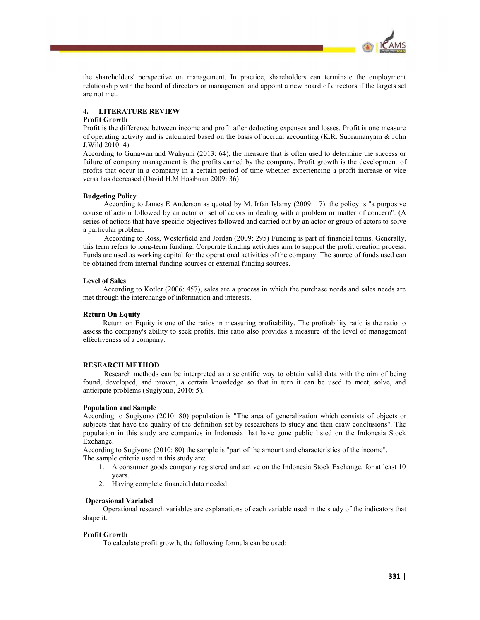

the shareholders' perspective on management. In practice, shareholders can terminate the employment relationship with the board of directors or management and appoint a new board of directors if the targets set are not met.

# 4. LITERATURE REVIEW

# Profit Growth

Profit is the difference between income and profit after deducting expenses and losses. Profit is one measure of operating activity and is calculated based on the basis of accrual accounting (K.R. Subramanyam & John J.Wild 2010: 4).

According to Gunawan and Wahyuni (2013: 64), the measure that is often used to determine the success or failure of company management is the profits earned by the company. Profit growth is the development of profits that occur in a company in a certain period of time whether experiencing a profit increase or vice versa has decreased (David H.M Hasibuan 2009: 36).

# Budgeting Policy

According to James E Anderson as quoted by M. Irfan Islamy (2009: 17). the policy is "a purposive course of action followed by an actor or set of actors in dealing with a problem or matter of concern". (A series of actions that have specific objectives followed and carried out by an actor or group of actors to solve a particular problem.

According to Ross, Westerfield and Jordan (2009: 295) Funding is part of financial terms. Generally, this term refers to long-term funding. Corporate funding activities aim to support the profit creation process. Funds are used as working capital for the operational activities of the company. The source of funds used can be obtained from internal funding sources or external funding sources.

# Level of Sales

According to Kotler (2006: 457), sales are a process in which the purchase needs and sales needs are met through the interchange of information and interests.

# Return On Equity

Return on Equity is one of the ratios in measuring profitability. The profitability ratio is the ratio to assess the company's ability to seek profits, this ratio also provides a measure of the level of management effectiveness of a company.

# RESEARCH METHOD

Research methods can be interpreted as a scientific way to obtain valid data with the aim of being found, developed, and proven, a certain knowledge so that in turn it can be used to meet, solve, and anticipate problems (Sugiyono, 2010: 5).

# Population and Sample

According to Sugiyono (2010: 80) population is "The area of generalization which consists of objects or subjects that have the quality of the definition set by researchers to study and then draw conclusions". The population in this study are companies in Indonesia that have gone public listed on the Indonesia Stock Exchange.

According to Sugiyono (2010: 80) the sample is "part of the amount and characteristics of the income". The sample criteria used in this study are:

- 1. A consumer goods company registered and active on the Indonesia Stock Exchange, for at least 10 years.
- 2. Having complete financial data needed.

# Operasional Variabel

Operational research variables are explanations of each variable used in the study of the indicators that shape it.

# Profit Growth

To calculate profit growth, the following formula can be used: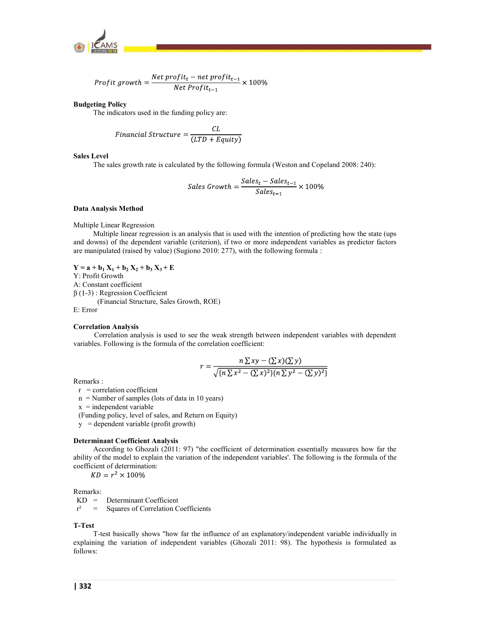

$$
Profit\ growth = \frac{Net\ profit_t - net\ profit_{t-1}}{Net\ Profit_{t-1}} \times 100\%
$$

# Budgeting Policy

The indicators used in the funding policy are:

$$
Financial Structure = \frac{CL}{(LTD + Equity)}
$$

# Sales Level

The sales growth rate is calculated by the following formula (Weston and Copeland 2008: 240):

$$
Sales Growth = \frac{Sales_t - Sales_{t-1}}{Sales_{t-1}} \times 100\%
$$

#### Data Analysis Method

Multiple Linear Regression

Multiple linear regression is an analysis that is used with the intention of predicting how the state (ups and downs) of the dependent variable (criterion), if two or more independent variables as predictor factors are manipulated (raised by value) (Sugiono 2010: 277), with the following formula :

 $Y = a + b_1 X_1 + b_2 X_2 + b_3 X_3 + E$ 

Y: Profit Growth

A: Constant coefficient

 $\beta$  (1-3) : Regression Coefficient

(Financial Structure, Sales Growth, ROE)

E: Error

#### Correlation Analysis

Correlation analysis is used to see the weak strength between independent variables with dependent variables. Following is the formula of the correlation coefficient:

$$
r = \frac{n\sum xy - (\sum x)(\sum y)}{\sqrt{\{n\sum x^2 - (\sum x)^2\} \{n\sum y^2 - (\sum y)^2\}}}
$$

Remarks :

 $r =$  correlation coefficient

 $n =$  Number of samples (lots of data in 10 years)

 $x =$ independent variable

(Funding policy, level of sales, and Return on Equity)

y = dependent variable (profit growth)

# Determinant Coefficient Analysis

According to Ghozali (2011: 97) "the coefficient of determination essentially measures how far the ability of the model to explain the variation of the independent variables'. The following is the formula of the coefficient of determination:<br> $KD = r^2 \times 100\%$ 

Remarks:

KD = Determinant Coefficient

 $r^2$  = Squares of Correlation Coefficients

#### T-Test

T-test basically shows "how far the influence of an explanatory/independent variable individually in explaining the variation of independent variables (Ghozali 2011: 98). The hypothesis is formulated as follows: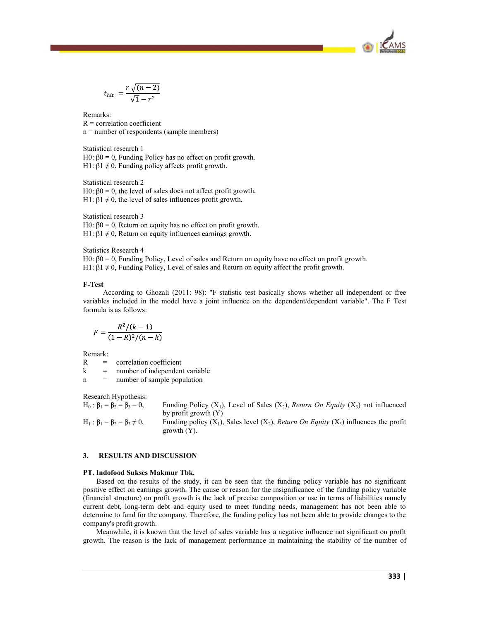

$$
t_{hit} = \frac{r\sqrt{(n-2)}}{\sqrt{1-r^2}}
$$

Remarks:  $R =$  correlation coefficient n = number of respondents (sample members)

Statistical research 1 H0:  $\beta$ 0 = 0, Funding Policy has no effect on profit growth. H1: β1  $\neq$  0, Funding policy affects profit growth.

Statistical research 2 H0:  $\beta$ 0 = 0, the level of sales does not affect profit growth. H1:  $\beta$ 1  $\neq$  0, the level of sales influences profit growth.

Statistical research 3 H0:  $\beta$ 0 = 0, Return on equity has no effect on profit growth. H1: β1  $\neq$  0, Return on equity influences earnings growth.

Statistics Research 4

 $H0: \beta0 = 0$ , Funding Policy, Level of sales and Return on equity have no effect on profit growth. H1:  $\beta$ 1  $\neq$  0, Funding Policy, Level of sales and Return on equity affect the profit growth.

# F-Test

According to Ghozali (2011: 98): "F statistic test basically shows whether all independent or free variables included in the model have a joint influence on the dependent/dependent variable". The F Test formula is as follows:

$$
F = \frac{R^2/(k-1)}{(1-R)^2/(n-k)}
$$

Remark:

R = correlation coefficient

 $k =$  number of independent variable

n = number of sample population

Research Hypothesis:

 $H_0: \beta_1 = \beta_2 = \beta_3 = 0$ , Funding Policy (X<sub>1</sub>), Level of Sales (X<sub>2</sub>), Return On Equity (X<sub>3</sub>) not influenced by profit growth (Y)  $H_1: \beta_1 = \beta_2 = \beta_3 \neq 0$ , Funding policy  $(X_1)$ , Sales level  $(X_2)$ , Return On Equity  $(X_3)$  influences the profit growth (Y).

# 3. RESULTS AND DISCUSSION

# PT. Indofood Sukses Makmur Tbk.

Based on the results of the study, it can be seen that the funding policy variable has no significant positive effect on earnings growth. The cause or reason for the insignificance of the funding policy variable (financial structure) on profit growth is the lack of precise composition or use in terms of liabilities namely current debt, long-term debt and equity used to meet funding needs, management has not been able to determine to fund for the company. Therefore, the funding policy has not been able to provide changes to the company's profit growth.

Meanwhile, it is known that the level of sales variable has a negative influence not significant on profit growth. The reason is the lack of management performance in maintaining the stability of the number of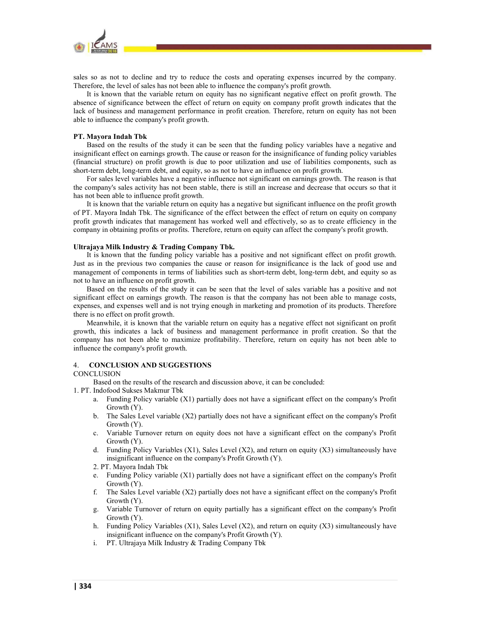

sales so as not to decline and try to reduce the costs and operating expenses incurred by the company. Therefore, the level of sales has not been able to influence the company's profit growth.

It is known that the variable return on equity has no significant negative effect on profit growth. The absence of significance between the effect of return on equity on company profit growth indicates that the lack of business and management performance in profit creation. Therefore, return on equity has not been able to influence the company's profit growth.

# PT. Mayora Indah Tbk

Based on the results of the study it can be seen that the funding policy variables have a negative and insignificant effect on earnings growth. The cause or reason for the insignificance of funding policy variables (financial structure) on profit growth is due to poor utilization and use of liabilities components, such as short-term debt, long-term debt, and equity, so as not to have an influence on profit growth.

For sales level variables have a negative influence not significant on earnings growth. The reason is that the company's sales activity has not been stable, there is still an increase and decrease that occurs so that it has not been able to influence profit growth.

It is known that the variable return on equity has a negative but significant influence on the profit growth of PT. Mayora Indah Tbk. The significance of the effect between the effect of return on equity on company profit growth indicates that management has worked well and effectively, so as to create efficiency in the company in obtaining profits or profits. Therefore, return on equity can affect the company's profit growth.

#### Ultrajaya Milk Industry & Trading Company Tbk.

It is known that the funding policy variable has a positive and not significant effect on profit growth. Just as in the previous two companies the cause or reason for insignificance is the lack of good use and management of components in terms of liabilities such as short-term debt, long-term debt, and equity so as not to have an influence on profit growth.

Based on the results of the study it can be seen that the level of sales variable has a positive and not significant effect on earnings growth. The reason is that the company has not been able to manage costs, expenses, and expenses well and is not trying enough in marketing and promotion of its products. Therefore there is no effect on profit growth.

Meanwhile, it is known that the variable return on equity has a negative effect not significant on profit growth, this indicates a lack of business and management performance in profit creation. So that the company has not been able to maximize profitability. Therefore, return on equity has not been able to influence the company's profit growth.

# 4. CONCLUSION AND SUGGESTIONS

#### **CONCLUSION**

Based on the results of the research and discussion above, it can be concluded:

- 
- 1. PT. Indofood Sukses Makmur Tbk<br>
a. Funding Policy variable (X1) partially does not have a significant effect on the company's Profit Growth (Y).
	- b. The Sales Level variable (X2) partially does not have a significant effect on the company's Profit Growth (Y). c. Variable Turnover return on equity does not have a significant effect on the company's Profit
	- Growth (Y).
	- d. Funding Policy Variables  $(X1)$ , Sales Level  $(X2)$ , and return on equity  $(X3)$  simultaneously have insignificant influence on the company's Profit Growth (Y).
	- 2. PT. Mayora Indah Tbk
	- e. Funding Policy variable (X1) partially does not have a significant effect on the company's Profit Growth (Y).
	- f. The Sales Level variable (X2) partially does not have a significant effect on the company's Profit Growth (Y).
	- g. Variable Turnover of return on equity partially has a significant effect on the company's Profit Growth (Y).
	- h. Funding Policy Variables (X1), Sales Level (X2), and return on equity (X3) simultaneously have insignificant influence on the company's Profit Growth (Y).
	- i. PT. Ultrajaya Milk Industry & Trading Company Tbk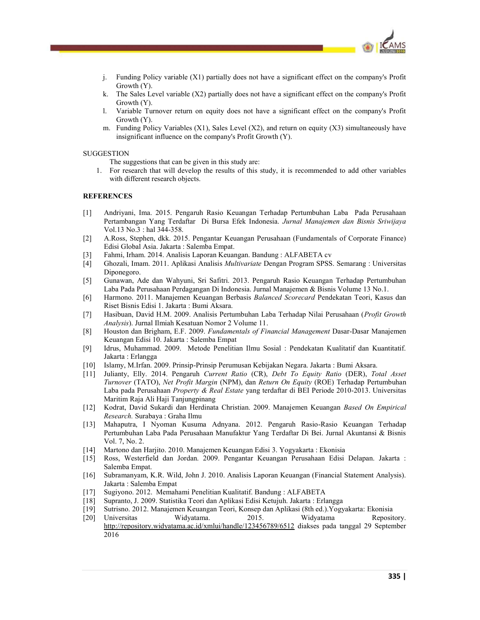

- j. Funding Policy variable (X1) partially does not have a significant effect on the company's Profit Growth (Y).
- k. The Sales Level variable (X2) partially does not have a significant effect on the company's Profit Growth (Y).
- l. Variable Turnover return on equity does not have a significant effect on the company's Profit Growth (Y).<br>m. Funding Policy Variables (X1), Sales Level (X2), and return on equity (X3) simultaneously have
- insignificant influence on the company's Profit Growth (Y).

# SUGGESTION

The suggestions that can be given in this study are:

1. For research that will develop the results of this study, it is recommended to add other variables with different research objects.

# **REFERENCES**

- [1] Andriyani, Ima. 2015. Pengaruh Rasio Keuangan Terhadap Pertumbuhan Laba Pada Perusahaan Pertambangan Yang Terdaftar Di Bursa Efek Indonesia. Jurnal Manajemen dan Bisnis Sriwijaya Vol.13 No.3 : hal 344-358.
- [2] A.Ross, Stephen, dkk. 2015. Pengantar Keuangan Perusahaan (Fundamentals of Corporate Finance) Edisi Global Asia. Jakarta : Salemba Empat.
- [3] Fahmi, Irham. 2014. Analisis Laporan Keuangan. Bandung : ALFABETA cv
- [4] Ghozali, Imam. 2011. Aplikasi Analisis Multivariate Dengan Program SPSS. Semarang : Universitas Diponegoro.
- [5] Gunawan, Ade dan Wahyuni, Sri Safitri. 2013. Pengaruh Rasio Keuangan Terhadap Pertumbuhan Laba Pada Perusahaan Perdagangan Di Indonesia. Jurnal Manajemen & Bisnis Volume 13 No.1.
- [6] Harmono. 2011. Manajemen Keuangan Berbasis Balanced Scorecard Pendekatan Teori, Kasus dan Riset Bisnis Edisi 1. Jakarta : Bumi Aksara.
- [7] Hasibuan, David H.M. 2009. Analisis Pertumbuhan Laba Terhadap Nilai Perusahaan (Profit Growth Analysis). Jurnal Ilmiah Kesatuan Nomor 2 Volume 11.
- [8] Houston dan Brigham, E.F. 2009. Fundamentals of Financial Management Dasar-Dasar Manajemen Keuangan Edisi 10. Jakarta : Salemba Empat
- [9] Idrus, Muhammad. 2009. Metode Penelitian Ilmu Sosial : Pendekatan Kualitatif dan Kuantitatif. Jakarta : Erlangga
- [10] Islamy, M.Irfan. 2009. Prinsip-Prinsip Perumusan Kebijakan Negara. Jakarta : Bumi Aksara.
- [11] Julianty, Elly. 2014. Pengaruh Current Ratio (CR), Debt To Equity Ratio (DER), Total Asset Turnover (TATO), Net Profit Margin (NPM), dan Return On Equity (ROE) Terhadap Pertumbuhan Laba pada Perusahaan Property & Real Estate yang terdaftar di BEI Periode 2010-2013. Universitas Maritim Raja Ali Haji Tanjungpinang
- [12] Kodrat, David Sukardi dan Herdinata Christian. 2009. Manajemen Keuangan Based On Empirical Research. Surabaya : Graha Ilmu
- [13] Mahaputra, I Nyoman Kusuma Adnyana. 2012. Pengaruh Rasio-Rasio Keuangan Terhadap Pertumbuhan Laba Pada Perusahaan Manufaktur Yang Terdaftar Di Bei. Jurnal Akuntansi & Bisnis Vol. 7, No. 2.
- [14] Martono dan Harjito. 2010. Manajemen Keuangan Edisi 3. Yogyakarta : Ekonisia
- [15] Ross, Westerfield dan Jordan. 2009. Pengantar Keuangan Perusahaan Edisi Delapan. Jakarta : Salemba Empat.
- [16] Subramanyam, K.R. Wild, John J. 2010. Analisis Laporan Keuangan (Financial Statement Analysis). Jakarta : Salemba Empat
- [17] Sugiyono. 2012. Memahami Penelitian Kualitatif. Bandung : ALFABETA
- [18] Supranto, J. 2009. Statistika Teori dan Aplikasi Edisi Ketujuh. Jakarta : Erlangga
- [19] Sutrisno. 2012. Manajemen Keuangan Teori, Konsep dan Aplikasi (8th ed.).Yogyakarta: Ekonisia
- [20] Universitas Widyatama. 2015. Widyatama Repository. http://repository.widyatama.ac.id/xmlui/handle/123456789/6512 diakses pada tanggal 29 September 2016